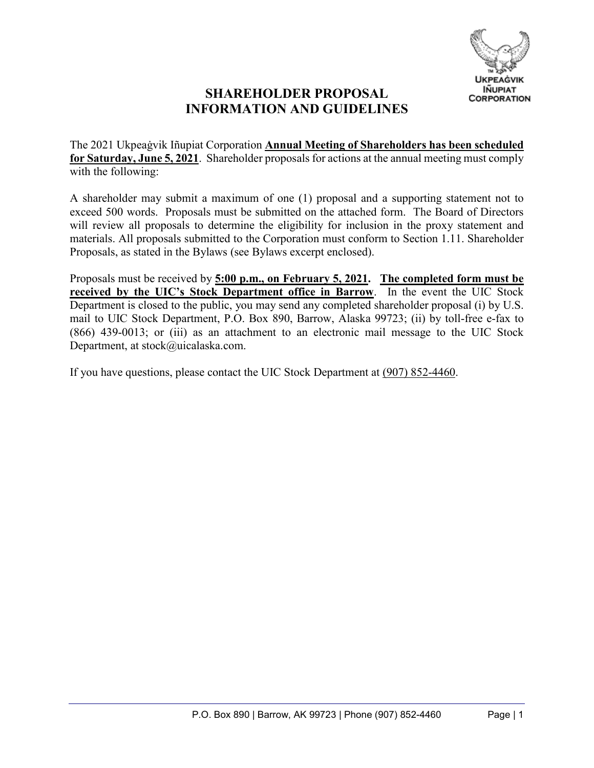

# **SHAREHOLDER PROPOSAL INFORMATION AND GUIDELINES**

The 2021 Ukpeaġvik Iñupiat Corporation **Annual Meeting of Shareholders has been scheduled for Saturday, June 5, 2021**. Shareholder proposals for actions at the annual meeting must comply with the following:

A shareholder may submit a maximum of one (1) proposal and a supporting statement not to exceed 500 words. Proposals must be submitted on the attached form. The Board of Directors will review all proposals to determine the eligibility for inclusion in the proxy statement and materials. All proposals submitted to the Corporation must conform to Section 1.11. Shareholder Proposals, as stated in the Bylaws (see Bylaws excerpt enclosed).

Proposals must be received by **5:00 p.m., on February 5, 2021. The completed form must be received by the UIC's Stock Department office in Barrow**. In the event the UIC Stock Department is closed to the public, you may send any completed shareholder proposal (i) by U.S. mail to UIC Stock Department, P.O. Box 890, Barrow, Alaska 99723; (ii) by toll-free e-fax to (866) 439-0013; or (iii) as an attachment to an electronic mail message to the UIC Stock Department, at [stock@uicalaska.com](mailto:stock@uicalaska.com).

If you have questions, please contact the UIC Stock Department at (907) 852-4460.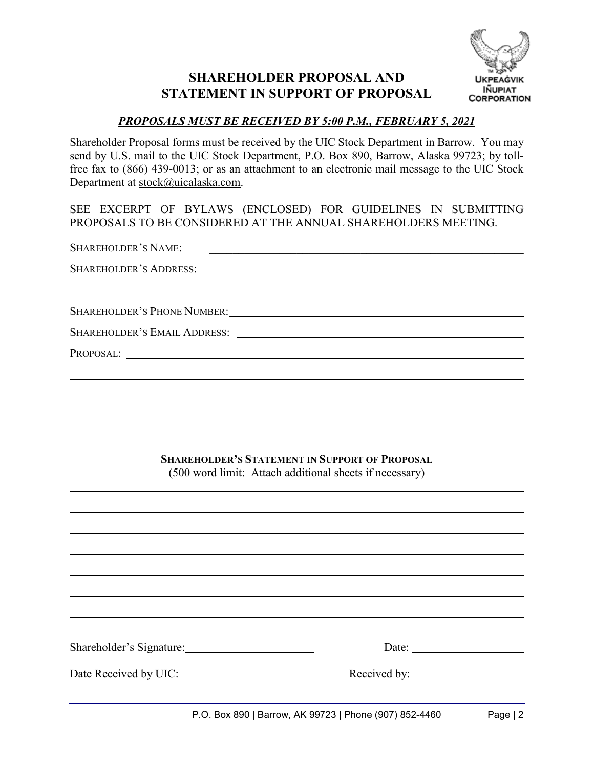# **SHAREHOLDER PROPOSAL AND STATEMENT IN SUPPORT OF PROPOSAL**



### *PROPOSALS MUST BE RECEIVED BY 5:00 P.M., FEBRUARY 5, 2021*

Shareholder Proposal forms must be received by the UIC Stock Department in Barrow. You may send by U.S. mail to the UIC Stock Department, P.O. Box 890, Barrow, Alaska 99723; by tollfree fax to (866) 439-0013; or as an attachment to an electronic mail message to the UIC Stock Department at [stock@uicalaska.com](mailto:stock@uicalaska.com).

SEE EXCERPT OF BYLAWS (ENCLOSED) FOR GUIDELINES IN SUBMITTING PROPOSALS TO BE CONSIDERED AT THE ANNUAL SHAREHOLDERS MEETING.

| SHAREHOLDER'S NAME:           | <u> 1980 - Jan Barnett, fransk politik (d. 1980)</u>                                                             |          |
|-------------------------------|------------------------------------------------------------------------------------------------------------------|----------|
| <b>SHAREHOLDER'S ADDRESS:</b> |                                                                                                                  |          |
|                               |                                                                                                                  |          |
|                               |                                                                                                                  |          |
| PROPOSAL:                     |                                                                                                                  |          |
|                               |                                                                                                                  |          |
|                               |                                                                                                                  |          |
|                               |                                                                                                                  |          |
|                               |                                                                                                                  |          |
|                               | <b>SHAREHOLDER'S STATEMENT IN SUPPORT OF PROPOSAL</b><br>(500 word limit: Attach additional sheets if necessary) |          |
|                               |                                                                                                                  |          |
|                               |                                                                                                                  |          |
|                               |                                                                                                                  |          |
|                               |                                                                                                                  |          |
|                               |                                                                                                                  |          |
|                               |                                                                                                                  |          |
|                               |                                                                                                                  |          |
|                               | Date: $\qquad \qquad$                                                                                            |          |
|                               |                                                                                                                  |          |
|                               | P.O. Box 890   Barrow, AK 99723   Phone (907) 852-4460                                                           | Page   2 |